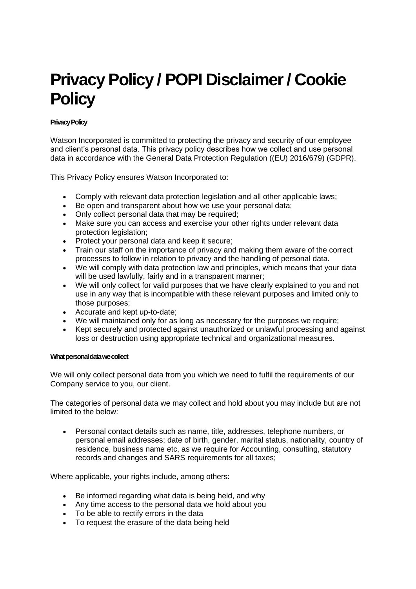# **Privacy Policy / POPI Disclaimer / Cookie Policy**

# **Privacy Policy**

Watson Incorporated is committed to protecting the privacy and security of our employee and client's personal data. This privacy policy describes how we collect and use personal data in accordance with the General Data Protection Regulation ((EU) 2016/679) (GDPR).

This Privacy Policy ensures Watson Incorporated to:

- Comply with relevant data protection legislation and all other applicable laws;
- Be open and transparent about how we use your personal data;
- Only collect personal data that may be required;
- Make sure you can access and exercise your other rights under relevant data protection legislation;
- Protect your personal data and keep it secure;
- Train our staff on the importance of privacy and making them aware of the correct processes to follow in relation to privacy and the handling of personal data.
- We will comply with data protection law and principles, which means that your data will be used lawfully, fairly and in a transparent manner;
- We will only collect for valid purposes that we have clearly explained to you and not use in any way that is incompatible with these relevant purposes and limited only to those purposes;
- Accurate and kept up-to-date;
- We will maintained only for as long as necessary for the purposes we require;
- Kept securely and protected against unauthorized or unlawful processing and against loss or destruction using appropriate technical and organizational measures.

## **What personal data we collect**

We will only collect personal data from you which we need to fulfil the requirements of our Company service to you, our client.

The categories of personal data we may collect and hold about you may include but are not limited to the below:

• Personal contact details such as name, title, addresses, telephone numbers, or personal email addresses; date of birth, gender, marital status, nationality, country of residence, business name etc, as we require for Accounting, consulting, statutory records and changes and SARS requirements for all taxes;

Where applicable, your rights include, among others:

- Be informed regarding what data is being held, and why
- Any time access to the personal data we hold about you
- To be able to rectify errors in the data
- To request the erasure of the data being held